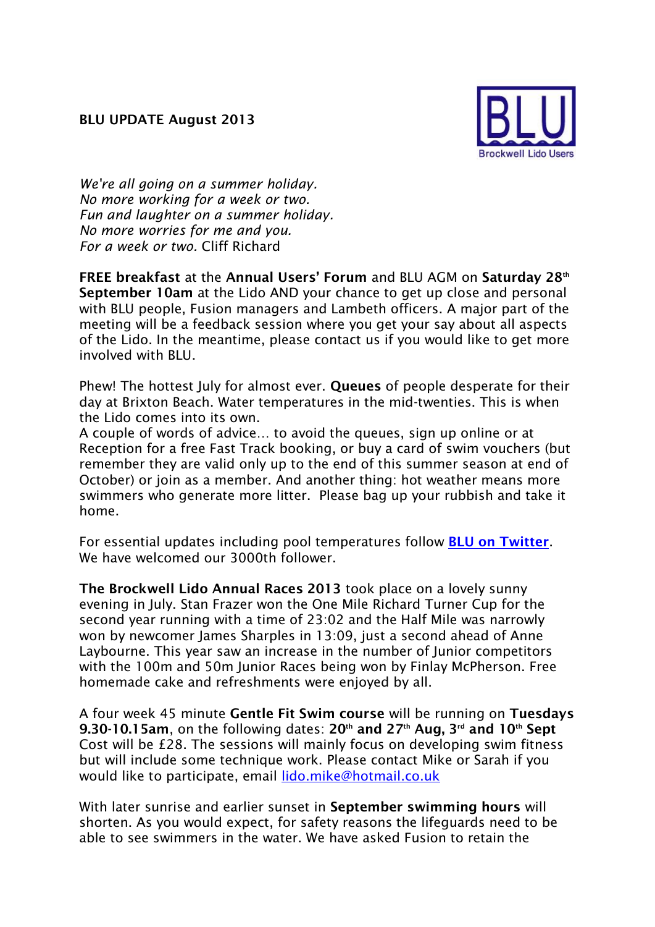

*We're all going on a summer holiday. No more working for a week or two. Fun and laughter on a summer holiday. No more worries for me and you. For a week or two.* Cliff Richard

**FREE breakfast** at the **Annual Users' Forum** and BLU AGM on **Saturday 28th September 10am** at the Lido AND your chance to get up close and personal with BLU people, Fusion managers and Lambeth officers. A major part of the meeting will be a feedback session where you get your say about all aspects of the Lido. In the meantime, please contact us if you would like to get more involved with BLU.

Phew! The hottest July for almost ever. **Queues** of people desperate for their day at Brixton Beach. Water temperatures in the mid-twenties. This is when the Lido comes into its own.

A couple of words of advice… to avoid the queues, sign up online or at Reception for a free Fast Track booking, or buy a card of swim vouchers (but remember they are valid only up to the end of this summer season at end of October) or join as a member. And another thing: hot weather means more swimmers who generate more litter. Please bag up your rubbish and take it home.

For essential updates including pool temperatures follow **[BLU on Twitter](http://twitter.com/BrockwellLido)**. We have welcomed our 3000th follower.

**The Brockwell Lido Annual Races 2013** took place on a lovely sunny evening in July. Stan Frazer won the One Mile Richard Turner Cup for the second year running with a time of 23:02 and the Half Mile was narrowly won by newcomer James Sharples in 13:09, just a second ahead of Anne Laybourne. This year saw an increase in the number of Junior competitors with the 100m and 50m Junior Races being won by Finlay McPherson. Free homemade cake and refreshments were enjoyed by all.

A four week 45 minute **Gentle Fit Swim course** will be running on **Tuesdays 9.30-10.15am**, on the following dates: **20th and 27th Aug, 3rd and 10th Sept** Cost will be £28. The sessions will mainly focus on developing swim fitness but will include some technique work. Please contact Mike or Sarah if you would like to participate, email [lido.mike@hotmail.co.uk](mailto:lido.mike@hotmail.co.uk)

With later sunrise and earlier sunset in **September swimming hours** will shorten. As you would expect, for safety reasons the lifeguards need to be able to see swimmers in the water. We have asked Fusion to retain the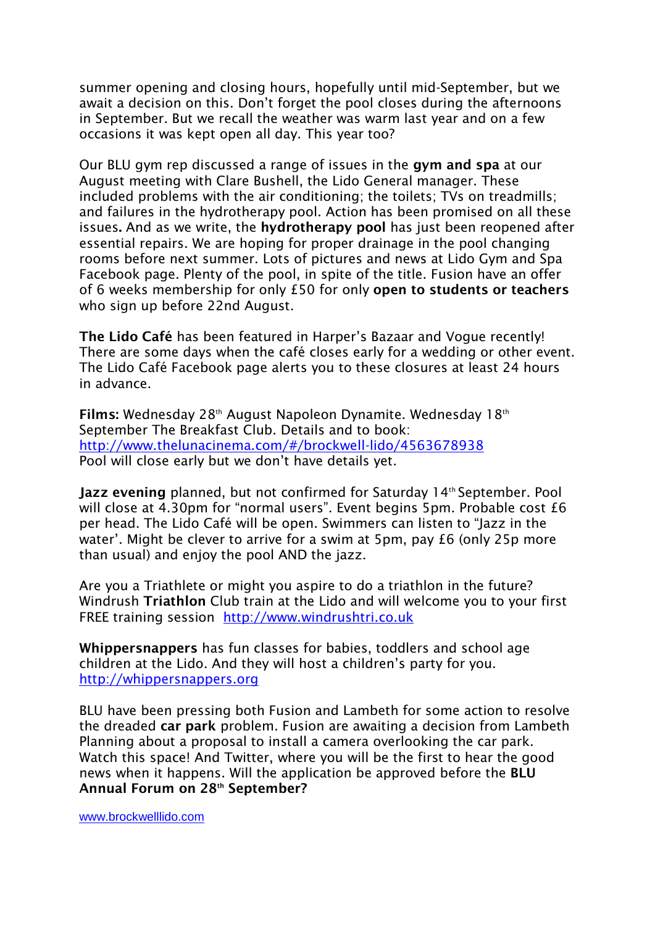summer opening and closing hours, hopefully until mid-September, but we await a decision on this. Don't forget the pool closes during the afternoons in September. But we recall the weather was warm last year and on a few occasions it was kept open all day. This year too?

Our BLU gym rep discussed a range of issues in the **gym and spa** at our August meeting with Clare Bushell, the Lido General manager. These included problems with the air conditioning; the toilets; TVs on treadmills; and failures in the hydrotherapy pool. Action has been promised on all these issues**.** And as we write, the **hydrotherapy pool** has just been reopened after essential repairs. We are hoping for proper drainage in the pool changing rooms before next summer. Lots of pictures and news at Lido Gym and Spa Facebook page. Plenty of the pool, in spite of the title. Fusion have an offer of 6 weeks membership for only £50 for only **open to students or teachers** who sign up before 22nd August.

**The Lido Café** has been featured in Harper's Bazaar and Vogue recently! There are some days when the café closes early for a wedding or other event. The Lido Café Facebook page alerts you to these closures at least 24 hours in advance.

Films: Wednesday 28<sup>th</sup> August Napoleon Dynamite. Wednesday 18<sup>th</sup> September The Breakfast Club. Details and to book: [http://www.thelunacinema.com/#/brockwell-lido/4563678938](http://www.thelunacinema.com/%23/brockwell-lido/4563678938) Pool will close early but we don't have details yet.

**Jazz evening** planned, but not confirmed for Saturday 14<sup>th</sup> September. Pool will close at 4.30pm for "normal users". Event begins 5pm. Probable cost £6 per head. The Lido Café will be open. Swimmers can listen to "Jazz in the water'. Might be clever to arrive for a swim at 5pm, pay £6 (only 25p more than usual) and enjoy the pool AND the jazz.

Are you a Triathlete or might you aspire to do a triathlon in the future? Windrush **Triathlon** Club train at the Lido and will welcome you to your first FREE training session [http://www.windrushtri.co.uk](http://www.windrushtri.co.uk/)

**Whippersnappers** has fun classes for babies, toddlers and school age children at the Lido. And they will host a children's party for you. [http://whippersnappers.org](http://whippersnappers.org/)

BLU have been pressing both Fusion and Lambeth for some action to resolve the dreaded **car park** problem. Fusion are awaiting a decision from Lambeth Planning about a proposal to install a camera overlooking the car park. Watch this space! And Twitter, where you will be the first to hear the good news when it happens. Will the application be approved before the **BLU Annual Forum on 28th September?**